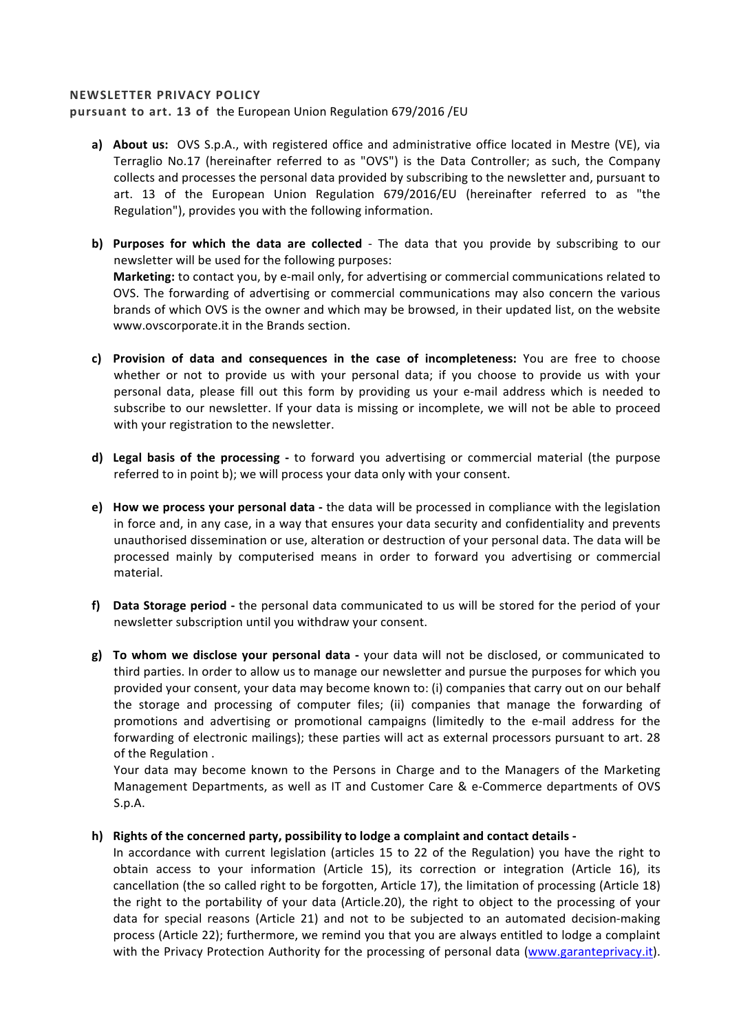## **NEWSLETTER PRIVACY POLICY**

pursuant to art. 13 of the European Union Regulation 679/2016 /EU

- **a) About us:** OVS S.p.A., with registered office and administrative office located in Mestre (VE), via Terraglio No.17 (hereinafter referred to as "OVS") is the Data Controller; as such, the Company collects and processes the personal data provided by subscribing to the newsletter and, pursuant to art. 13 of the European Union Regulation 679/2016/EU (hereinafter referred to as "the Regulation"), provides you with the following information.
- **b)** Purposes for which the data are collected The data that you provide by subscribing to our newsletter will be used for the following purposes: **Marketing:** to contact you, by e-mail only, for advertising or commercial communications related to OVS. The forwarding of advertising or commercial communications may also concern the various brands of which OVS is the owner and which may be browsed, in their updated list, on the website www.ovscorporate.it in the Brands section.
- **c)** Provision of data and consequences in the case of incompleteness: You are free to choose whether or not to provide us with your personal data; if you choose to provide us with your personal data, please fill out this form by providing us your e-mail address which is needed to subscribe to our newsletter. If your data is missing or incomplete, we will not be able to proceed with your registration to the newsletter.
- **d)** Legal basis of the processing to forward you advertising or commercial material (the purpose referred to in point b); we will process your data only with your consent.
- **e)** How we process your personal data the data will be processed in compliance with the legislation in force and, in any case, in a way that ensures your data security and confidentiality and prevents unauthorised dissemination or use, alteration or destruction of your personal data. The data will be processed mainly by computerised means in order to forward you advertising or commercial material.
- **f)** Data Storage period the personal data communicated to us will be stored for the period of your newsletter subscription until you withdraw your consent.
- **g) To whom we disclose your personal data** your data will not be disclosed, or communicated to third parties. In order to allow us to manage our newsletter and pursue the purposes for which you provided your consent, your data may become known to: (i) companies that carry out on our behalf the storage and processing of computer files; (ii) companies that manage the forwarding of promotions and advertising or promotional campaigns (limitedly to the e-mail address for the forwarding of electronic mailings); these parties will act as external processors pursuant to art. 28 of the Regulation.

Your data may become known to the Persons in Charge and to the Managers of the Marketing Management Departments, as well as IT and Customer Care & e-Commerce departments of OVS S.p.A.

## h) Rights of the concerned party, possibility to lodge a complaint and contact details -

In accordance with current legislation (articles 15 to 22 of the Regulation) you have the right to obtain access to your information (Article 15), its correction or integration (Article 16), its cancellation (the so called right to be forgotten, Article 17), the limitation of processing (Article 18) the right to the portability of your data (Article.20), the right to object to the processing of your data for special reasons (Article 21) and not to be subjected to an automated decision-making process (Article 22); furthermore, we remind you that you are always entitled to lodge a complaint with the Privacy Protection Authority for the processing of personal data (www.garanteprivacy.it).